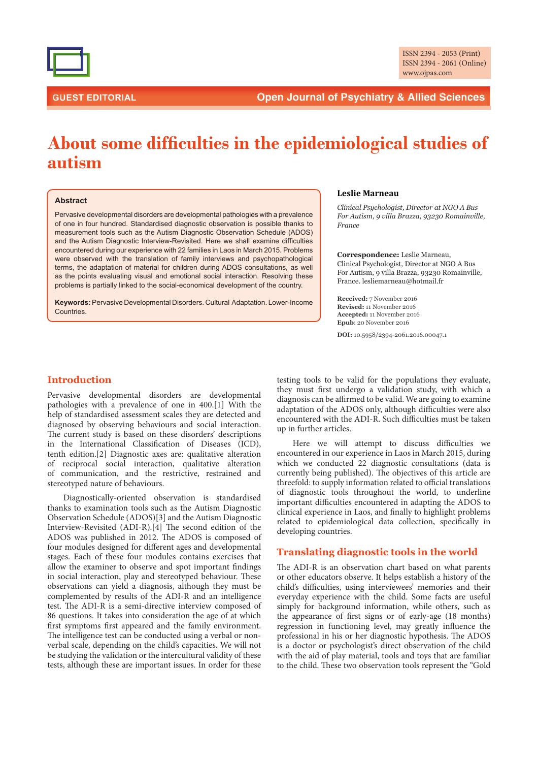

# **GUEST EDITORIAL Open Journal of Psychiatry & Allied Sciences**

# About some difficulties in the epidemiological studies of **autism**

#### **Abstract**

Pervasive developmental disorders are developmental pathologies with a prevalence of one in four hundred. Standardised diagnostic observation is possible thanks to measurement tools such as the Autism Diagnostic Observation Schedule (ADOS) and the Autism Diagnostic Interview-Revisited. Here we shall examine difficulties encountered during our experience with 22 families in Laos in March 2015. Problems were observed with the translation of family interviews and psychopathological terms, the adaptation of material for children during ADOS consultations, as well as the points evaluating visual and emotional social interaction. Resolving these problems is partially linked to the social-economical development of the country.

**Keywords:** Pervasive Developmental Disorders. Cultural Adaptation. Lower-Income Countries.

#### **Leslie Marneau**

 $Clinical Psychology$ , Director at NGO A Bus *For Autism.* 9 villa Brazza. 93230 Romainville.  $France$ 

**Correspondence:** Leslie Marneau, Clinical Psychologist, Director at NGO A Bus For Autism, 9 villa Brazza, 93230 Romainville, France. lesliemarneau@hotmail.fr

**Received:** 7 November 2016 **Revised:** 11 November 2016 **Accepted:** 11 November 2016 Epub: 20 November 2016

DOI: 10.5958/2394-2061.2016.00047.1

#### **Introduction**

Pervasive developmental disorders are developmental pathologies with a prevalence of one in 400.[1] With the help of standardised assessment scales they are detected and diagnosed by observing behaviours and social interaction. The current study is based on these disorders' descriptions in the International Classification of Diseases (ICD), tenth edition.[2] Diagnostic axes are: qualitative alteration of reciprocal social interaction, qualitative alteration of communication, and the restrictive, restrained and stereotyped nature of behaviours.

Diagnostically-oriented observation is standardised thanks to examination tools such as the Autism Diagnostic Observation Schedule (ADOS)[3] and the Autism Diagnostic Interview-Revisited (ADI-R).[4] The second edition of the ADOS was published in 2012. The ADOS is composed of four modules designed for different ages and developmental stages. Each of these four modules contains exercises that allow the examiner to observe and spot important findings in social interaction, play and stereotyped behaviour. These observations can yield a diagnosis, although they must be complemented by results of the ADI-R and an intelligence test. The ADI-R is a semi-directive interview composed of 86 questions. It takes into consideration the age of at which first symptoms first appeared and the family environment. The intelligence test can be conducted using a verbal or nonverbal scale, depending on the child's capacities. We will not be studying the validation or the intercultural validity of these tests, although these are important issues. In order for these

testing tools to be valid for the populations they evaluate, they must first undergo a validation study, with which a diagnosis can be affirmed to be valid. We are going to examine adaptation of the ADOS only, although difficulties were also encountered with the ADI-R. Such difficulties must be taken up in further articles.

Here we will attempt to discuss difficulties we encountered in our experience in Laos in March 2015, during which we conducted 22 diagnostic consultations (data is currently being published). The objectives of this article are threefold: to supply information related to official translations of diagnostic tools throughout the world, to underline important difficulties encountered in adapting the ADOS to clinical experience in Laos, and finally to highlight problems related to epidemiological data collection, specifically in developing countries.

### **Translating diagnostic tools in the world**

The ADI-R is an observation chart based on what parents or other educators observe. It helps establish a history of the child's difficulties, using interviewees' memories and their everyday experience with the child. Some facts are useful simply for background information, while others, such as the appearance of first signs or of early-age (18 months) regression in functioning level, may greatly influence the professional in his or her diagnostic hypothesis. The ADOS is a doctor or psychologist's direct observation of the child with the aid of play material, tools and toys that are familiar to the child. These two observation tools represent the "Gold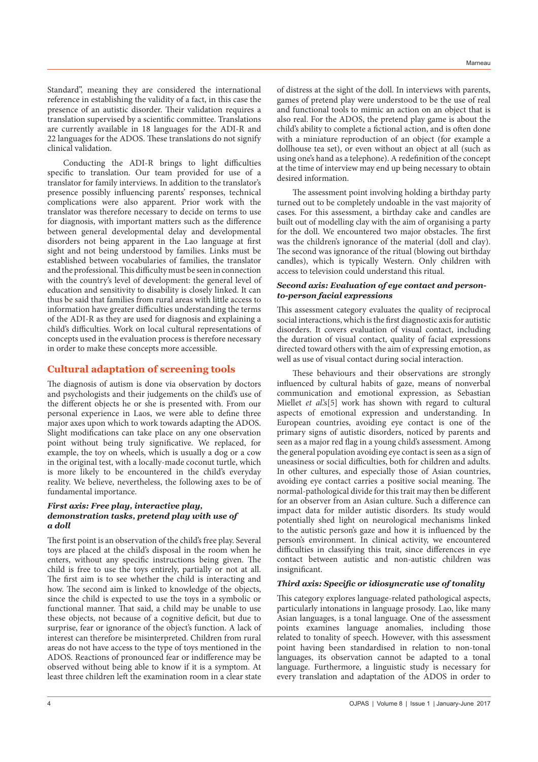Standard", meaning they are considered the international reference in establishing the validity of a fact, in this case the presence of an autistic disorder. Their validation requires a translation supervised by a scientific committee. Translations are currently available in 18 languages for the ADI-R and 22 languages for the ADOS. These translations do not signify clinical validation.

Conducting the ADI-R brings to light difficulties specific to translation. Our team provided for use of a translator for family interviews. In addition to the translator's presence possibly influencing parents' responses, technical complications were also apparent. Prior work with the translator was therefore necessary to decide on terms to use for diagnosis, with important matters such as the difference between general developmental delay and developmental disorders not being apparent in the Lao language at first sight and not being understood by families. Links must be established between vocabularies of families, the translator and the professional. This difficulty must be seen in connection with the country's level of development: the general level of education and sensitivity to disability is closely linked. It can thus be said that families from rural areas with little access to information have greater difficulties understanding the terms of the ADI-R as they are used for diagnosis and explaining a child's difficulties. Work on local cultural representations of concepts used in the evaluation process is therefore necessary in order to make these concepts more accessible.

# **Cultural adaptation of screening tools**

The diagnosis of autism is done via observation by doctors and psychologists and their judgements on the child's use of the different objects he or she is presented with. From our personal experience in Laos, we were able to define three major axes upon which to work towards adapting the ADOS. Slight modifications can take place on any one observation point without being truly significative. We replaced, for example, the toy on wheels, which is usually a dog or a cow in the original test, with a locally-made coconut turtle, which is more likely to be encountered in the child's everyday reality. We believe, nevertheless, the following axes to be of fundamental importance.

#### *First axis: Free play, interactive play, demonstration tasks, pretend play with use of a doll*

The first point is an observation of the child's free play. Several toys are placed at the child's disposal in the room when he enters, without any specific instructions being given. The child is free to use the toys entirely, partially or not at all. The first aim is to see whether the child is interacting and how. The second aim is linked to knowledge of the objects, since the child is expected to use the toys in a symbolic or functional manner. That said, a child may be unable to use these objects, not because of a cognitive deficit, but due to surprise, fear or ignorance of the object's function. A lack of interest can therefore be misinterpreted. Children from rural areas do not have access to the type of toys mentioned in the ADOS. Reactions of pronounced fear or indifference may be observed without being able to know if it is a symptom. At least three children left the examination room in a clear state

of distress at the sight of the doll. In interviews with parents, games of pretend play were understood to be the use of real and functional tools to mimic an action on an object that is also real. For the ADOS, the pretend play game is about the child's ability to complete a fictional action, and is often done with a miniature reproduction of an object (for example a dollhouse tea set), or even without an object at all (such as using one's hand as a telephone). A redefinition of the concept at the time of interview may end up being necessary to obtain desired information.

The assessment point involving holding a birthday party turned out to be completely undoable in the vast majority of cases. For this assessment, a birthday cake and candles are built out of modelling clay with the aim of organising a party for the doll. We encountered two major obstacles. The first was the children's ignorance of the material (doll and clay). The second was ignorance of the ritual (blowing out birthday candles), which is typically Western. Only children with access to television could understand this ritual.

#### *Second axis: Evaluation of eye contact and personto-person facial expressions*

This assessment category evaluates the quality of reciprocal social interactions, which is the first diagnostic axis for autistic disorders. It covers evaluation of visual contact, including the duration of visual contact, quality of facial expressions directed toward others with the aim of expressing emotion, as well as use of visual contact during social interaction.

These behaviours and their observations are strongly influenced by cultural habits of gaze, means of nonverbal communication and emotional expression, as Sebastian Miellet *et al*'s<sup>[5]</sup> work has shown with regard to cultural aspects of emotional expression and understanding. In European countries, avoiding eye contact is one of the primary signs of autistic disorders, noticed by parents and seen as a major red flag in a young child's assessment. Among the general population avoiding eye contact is seen as a sign of uneasiness or social difficulties, both for children and adults. In other cultures, and especially those of Asian countries, avoiding eye contact carries a positive social meaning. The normal-pathological divide for this trait may then be different for an observer from an Asian culture. Such a difference can impact data for milder autistic disorders. Its study would potentially shed light on neurological mechanisms linked to the autistic person's gaze and how it is influenced by the person's environment. In clinical activity, we encountered difficulties in classifying this trait, since differences in eye contact between autistic and non-autistic children was insignificant.

#### *Third axis: Specific or idiosyncratic use of tonality*

This category explores language-related pathological aspects, particularly intonations in language prosody. Lao, like many Asian languages, is a tonal language. One of the assessment points examines language anomalies, including those related to tonality of speech. However, with this assessment point having been standardised in relation to non-tonal languages, its observation cannot be adapted to a tonal language. Furthermore, a linguistic study is necessary for every translation and adaptation of the ADOS in order to